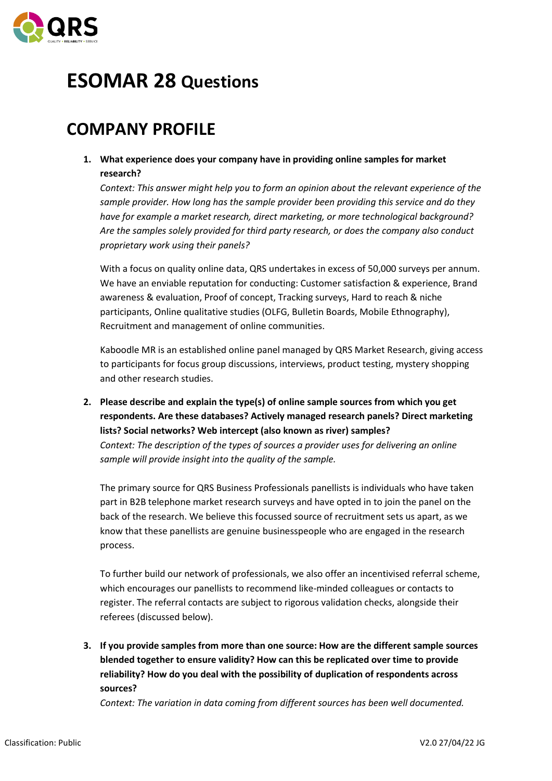

# **ESOMAR 28 Questions**

## **COMPANY PROFILE**

**1. What experience does your company have in providing online samples for market research?**

*Context: This answer might help you to form an opinion about the relevant experience of the sample provider. How long has the sample provider been providing this service and do they have for example a market research, direct marketing, or more technological background? Are the samples solely provided for third party research, or does the company also conduct proprietary work using their panels?*

With a focus on quality online data, QRS undertakes in excess of 50,000 surveys per annum. We have an enviable reputation for conducting: Customer satisfaction & experience, Brand awareness & evaluation, Proof of concept, Tracking surveys, Hard to reach & niche participants, Online qualitative studies (OLFG, Bulletin Boards, Mobile Ethnography), Recruitment and management of online communities.

Kaboodle MR is an established online panel managed by QRS Market Research, giving access to participants for focus group discussions, interviews, product testing, mystery shopping and other research studies.

**2. Please describe and explain the type(s) of online sample sources from which you get respondents. Are these databases? Actively managed research panels? Direct marketing lists? Social networks? Web intercept (also known as river) samples?** *Context: The description of the types of sources a provider uses for delivering an online sample will provide insight into the quality of the sample.*

The primary source for QRS Business Professionals panellists is individuals who have taken part in B2B telephone market research surveys and have opted in to join the panel on the back of the research. We believe this focussed source of recruitment sets us apart, as we know that these panellists are genuine businesspeople who are engaged in the research process.

To further build our network of professionals, we also offer an incentivised referral scheme, which encourages our panellists to recommend like-minded colleagues or contacts to register. The referral contacts are subject to rigorous validation checks, alongside their referees (discussed below).

**3. If you provide samples from more than one source: How are the different sample sources blended together to ensure validity? How can this be replicated over time to provide reliability? How do you deal with the possibility of duplication of respondents across sources?**

*Context: The variation in data coming from different sources has been well documented.*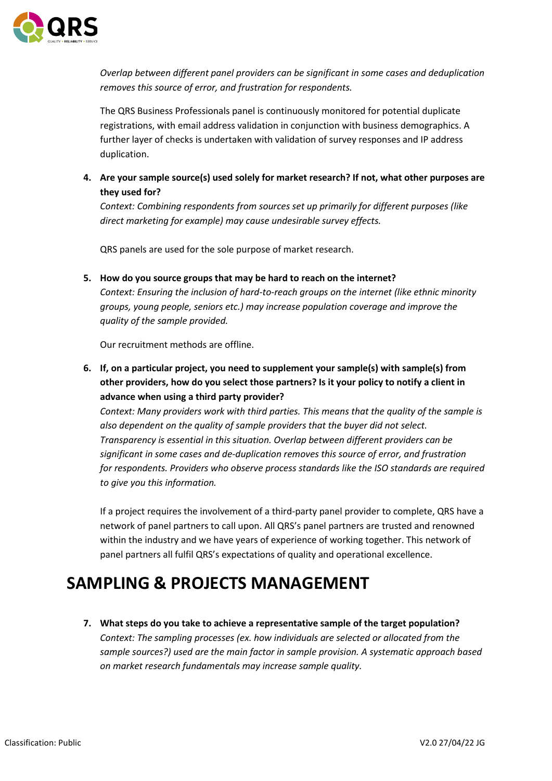

*Overlap between different panel providers can be significant in some cases and deduplication removes this source of error, and frustration for respondents.*

The QRS Business Professionals panel is continuously monitored for potential duplicate registrations, with email address validation in conjunction with business demographics. A further layer of checks is undertaken with validation of survey responses and IP address duplication.

**4. Are your sample source(s) used solely for market research? If not, what other purposes are they used for?**

*Context: Combining respondents from sources set up primarily for different purposes (like direct marketing for example) may cause undesirable survey effects.*

QRS panels are used for the sole purpose of market research.

**5. How do you source groups that may be hard to reach on the internet?** *Context: Ensuring the inclusion of hard-to-reach groups on the internet (like ethnic minority groups, young people, seniors etc.) may increase population coverage and improve the quality of the sample provided.*

Our recruitment methods are offline.

**6. If, on a particular project, you need to supplement your sample(s) with sample(s) from other providers, how do you select those partners? Is it your policy to notify a client in advance when using a third party provider?**

*Context: Many providers work with third parties. This means that the quality of the sample is also dependent on the quality of sample providers that the buyer did not select. Transparency is essential in this situation. Overlap between different providers can be significant in some cases and de-duplication removes this source of error, and frustration for respondents. Providers who observe process standards like the ISO standards are required to give you this information.*

If a project requires the involvement of a third-party panel provider to complete, QRS have a network of panel partners to call upon. All QRS's panel partners are trusted and renowned within the industry and we have years of experience of working together. This network of panel partners all fulfil QRS's expectations of quality and operational excellence.

## **SAMPLING & PROJECTS MANAGEMENT**

**7. What steps do you take to achieve a representative sample of the target population?** *Context: The sampling processes (ex. how individuals are selected or allocated from the sample sources?) used are the main factor in sample provision. A systematic approach based on market research fundamentals may increase sample quality.*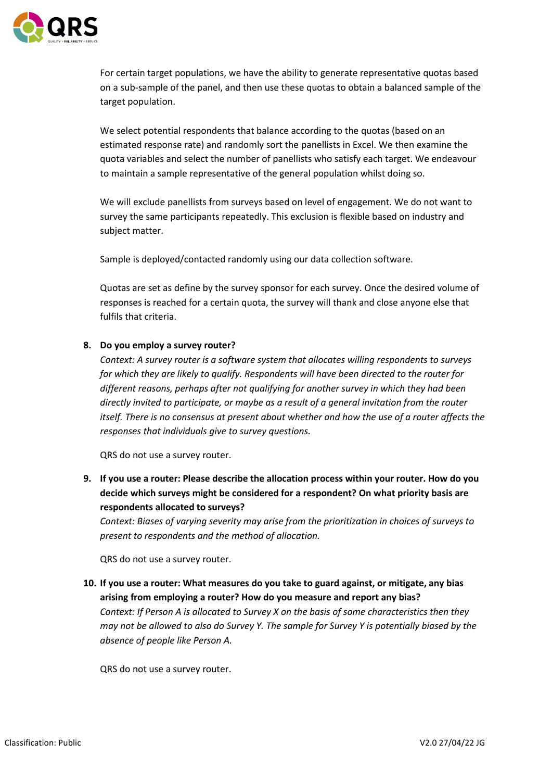

For certain target populations, we have the ability to generate representative quotas based on a sub-sample of the panel, and then use these quotas to obtain a balanced sample of the target population.

We select potential respondents that balance according to the quotas (based on an estimated response rate) and randomly sort the panellists in Excel. We then examine the quota variables and select the number of panellists who satisfy each target. We endeavour to maintain a sample representative of the general population whilst doing so.

We will exclude panellists from surveys based on level of engagement. We do not want to survey the same participants repeatedly. This exclusion is flexible based on industry and subject matter.

Sample is deployed/contacted randomly using our data collection software.

Quotas are set as define by the survey sponsor for each survey. Once the desired volume of responses is reached for a certain quota, the survey will thank and close anyone else that fulfils that criteria.

### **8. Do you employ a survey router?**

*Context: A survey router is a software system that allocates willing respondents to surveys for which they are likely to qualify. Respondents will have been directed to the router for different reasons, perhaps after not qualifying for another survey in which they had been directly invited to participate, or maybe as a result of a general invitation from the router itself. There is no consensus at present about whether and how the use of a router affects the responses that individuals give to survey questions.*

QRS do not use a survey router.

**9. If you use a router: Please describe the allocation process within your router. How do you decide which surveys might be considered for a respondent? On what priority basis are respondents allocated to surveys?**

*Context: Biases of varying severity may arise from the prioritization in choices of surveys to present to respondents and the method of allocation.*

QRS do not use a survey router.

**10. If you use a router: What measures do you take to guard against, or mitigate, any bias arising from employing a router? How do you measure and report any bias?** *Context: If Person A is allocated to Survey X on the basis of some characteristics then they may not be allowed to also do Survey Y. The sample for Survey Y is potentially biased by the absence of people like Person A.*

QRS do not use a survey router.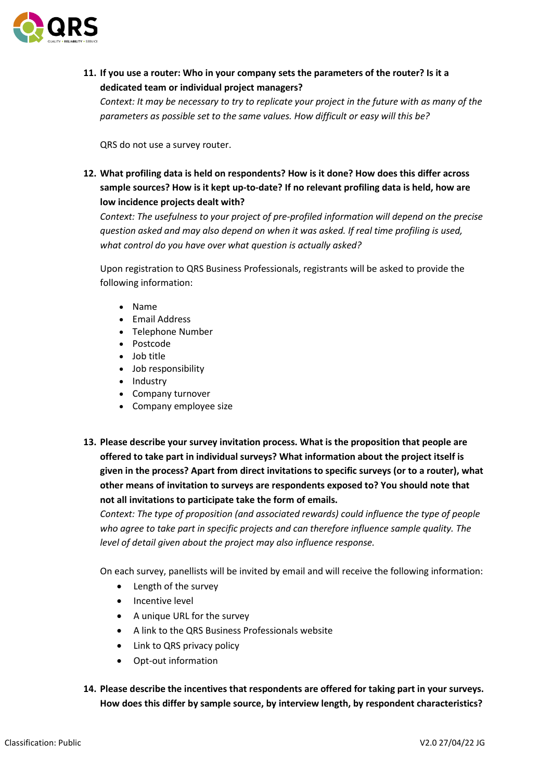

**11. If you use a router: Who in your company sets the parameters of the router? Is it a dedicated team or individual project managers?**

*Context: It may be necessary to try to replicate your project in the future with as many of the parameters as possible set to the same values. How difficult or easy will this be?*

QRS do not use a survey router.

**12. What profiling data is held on respondents? How is it done? How does this differ across sample sources? How is it kept up-to-date? If no relevant profiling data is held, how are low incidence projects dealt with?**

*Context: The usefulness to your project of pre-profiled information will depend on the precise question asked and may also depend on when it was asked. If real time profiling is used, what control do you have over what question is actually asked?*

Upon registration to QRS Business Professionals, registrants will be asked to provide the following information:

- Name
- Email Address
- Telephone Number
- Postcode
- Job title
- Job responsibility
- Industry
- Company turnover
- Company employee size
- **13. Please describe your survey invitation process. What is the proposition that people are offered to take part in individual surveys? What information about the project itself is given in the process? Apart from direct invitations to specific surveys (or to a router), what other means of invitation to surveys are respondents exposed to? You should note that not all invitations to participate take the form of emails.**

*Context: The type of proposition (and associated rewards) could influence the type of people who agree to take part in specific projects and can therefore influence sample quality. The level of detail given about the project may also influence response.*

On each survey, panellists will be invited by email and will receive the following information:

- Length of the survey
- Incentive level
- A unique URL for the survey
- A link to the QRS Business Professionals website
- Link to QRS privacy policy
- Opt-out information
- **14. Please describe the incentives that respondents are offered for taking part in your surveys. How does this differ by sample source, by interview length, by respondent characteristics?**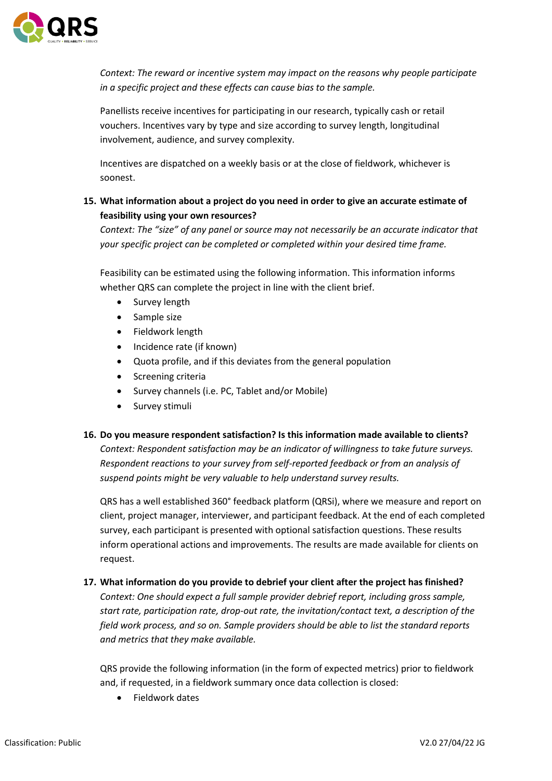

*Context: The reward or incentive system may impact on the reasons why people participate in a specific project and these effects can cause bias to the sample.*

Panellists receive incentives for participating in our research, typically cash or retail vouchers. Incentives vary by type and size according to survey length, longitudinal involvement, audience, and survey complexity.

Incentives are dispatched on a weekly basis or at the close of fieldwork, whichever is soonest.

### **15. What information about a project do you need in order to give an accurate estimate of feasibility using your own resources?**

*Context: The "size" of any panel or source may not necessarily be an accurate indicator that your specific project can be completed or completed within your desired time frame.*

Feasibility can be estimated using the following information. This information informs whether QRS can complete the project in line with the client brief.

- Survey length
- Sample size
- Fieldwork length
- Incidence rate (if known)
- Quota profile, and if this deviates from the general population
- Screening criteria
- Survey channels (i.e. PC, Tablet and/or Mobile)
- Survey stimuli
- **16. Do you measure respondent satisfaction? Is this information made available to clients?** *Context: Respondent satisfaction may be an indicator of willingness to take future surveys. Respondent reactions to your survey from self-reported feedback or from an analysis of suspend points might be very valuable to help understand survey results.*

QRS has a well established 360° feedback platform (QRSi), where we measure and report on client, project manager, interviewer, and participant feedback. At the end of each completed survey, each participant is presented with optional satisfaction questions. These results inform operational actions and improvements. The results are made available for clients on request.

### **17. What information do you provide to debrief your client after the project has finished?**

*Context: One should expect a full sample provider debrief report, including gross sample, start rate, participation rate, drop-out rate, the invitation/contact text, a description of the field work process, and so on. Sample providers should be able to list the standard reports and metrics that they make available.*

QRS provide the following information (in the form of expected metrics) prior to fieldwork and, if requested, in a fieldwork summary once data collection is closed:

• Fieldwork dates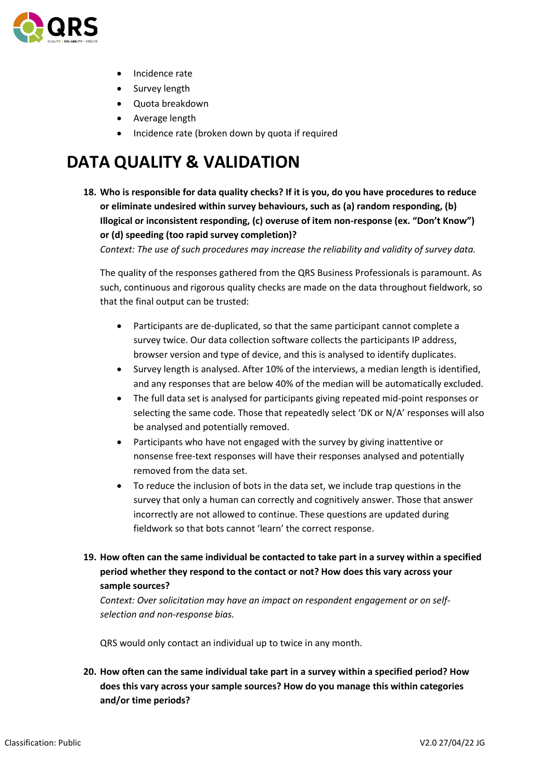

- Incidence rate
- Survey length
- Quota breakdown
- Average length
- Incidence rate (broken down by quota if required

## **DATA QUALITY & VALIDATION**

**18. Who is responsible for data quality checks? If it is you, do you have procedures to reduce or eliminate undesired within survey behaviours, such as (a) random responding, (b) Illogical or inconsistent responding, (c) overuse of item non-response (ex. "Don't Know") or (d) speeding (too rapid survey completion)?**

*Context: The use of such procedures may increase the reliability and validity of survey data.*

The quality of the responses gathered from the QRS Business Professionals is paramount. As such, continuous and rigorous quality checks are made on the data throughout fieldwork, so that the final output can be trusted:

- Participants are de-duplicated, so that the same participant cannot complete a survey twice. Our data collection software collects the participants IP address, browser version and type of device, and this is analysed to identify duplicates.
- Survey length is analysed. After 10% of the interviews, a median length is identified, and any responses that are below 40% of the median will be automatically excluded.
- The full data set is analysed for participants giving repeated mid-point responses or selecting the same code. Those that repeatedly select 'DK or N/A' responses will also be analysed and potentially removed.
- Participants who have not engaged with the survey by giving inattentive or nonsense free-text responses will have their responses analysed and potentially removed from the data set.
- To reduce the inclusion of bots in the data set, we include trap questions in the survey that only a human can correctly and cognitively answer. Those that answer incorrectly are not allowed to continue. These questions are updated during fieldwork so that bots cannot 'learn' the correct response.
- **19. How often can the same individual be contacted to take part in a survey within a specified period whether they respond to the contact or not? How does this vary across your sample sources?**

*Context: Over solicitation may have an impact on respondent engagement or on selfselection and non-response bias.*

QRS would only contact an individual up to twice in any month.

**20. How often can the same individual take part in a survey within a specified period? How does this vary across your sample sources? How do you manage this within categories and/or time periods?**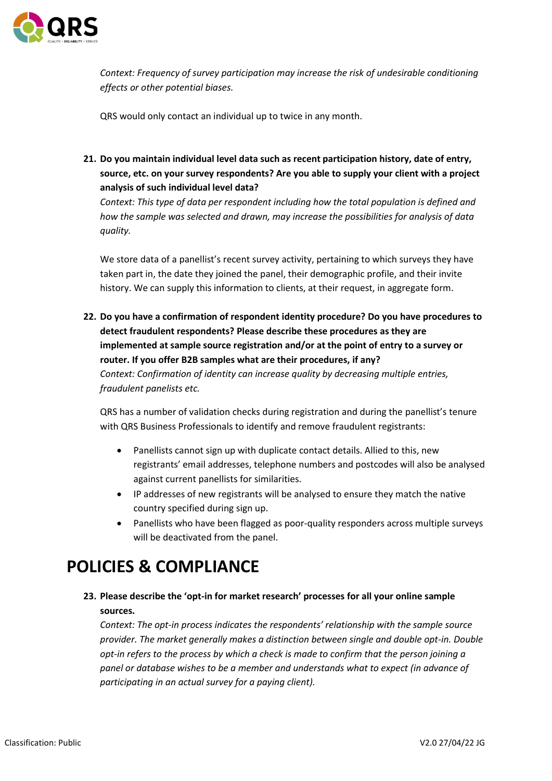

*Context: Frequency of survey participation may increase the risk of undesirable conditioning effects or other potential biases.*

QRS would only contact an individual up to twice in any month.

**21. Do you maintain individual level data such as recent participation history, date of entry, source, etc. on your survey respondents? Are you able to supply your client with a project analysis of such individual level data?**

*Context: This type of data per respondent including how the total population is defined and how the sample was selected and drawn, may increase the possibilities for analysis of data quality.*

We store data of a panellist's recent survey activity, pertaining to which surveys they have taken part in, the date they joined the panel, their demographic profile, and their invite history. We can supply this information to clients, at their request, in aggregate form.

**22. Do you have a confirmation of respondent identity procedure? Do you have procedures to detect fraudulent respondents? Please describe these procedures as they are implemented at sample source registration and/or at the point of entry to a survey or router. If you offer B2B samples what are their procedures, if any?** *Context: Confirmation of identity can increase quality by decreasing multiple entries, fraudulent panelists etc.*

QRS has a number of validation checks during registration and during the panellist's tenure with QRS Business Professionals to identify and remove fraudulent registrants:

- Panellists cannot sign up with duplicate contact details. Allied to this, new registrants' email addresses, telephone numbers and postcodes will also be analysed against current panellists for similarities.
- IP addresses of new registrants will be analysed to ensure they match the native country specified during sign up.
- Panellists who have been flagged as poor-quality responders across multiple surveys will be deactivated from the panel.

## **POLICIES & COMPLIANCE**

**23. Please describe the 'opt-in for market research' processes for all your online sample sources.**

*Context: The opt-in process indicates the respondents' relationship with the sample source provider. The market generally makes a distinction between single and double opt-in. Double opt-in refers to the process by which a check is made to confirm that the person joining a panel or database wishes to be a member and understands what to expect (in advance of participating in an actual survey for a paying client).*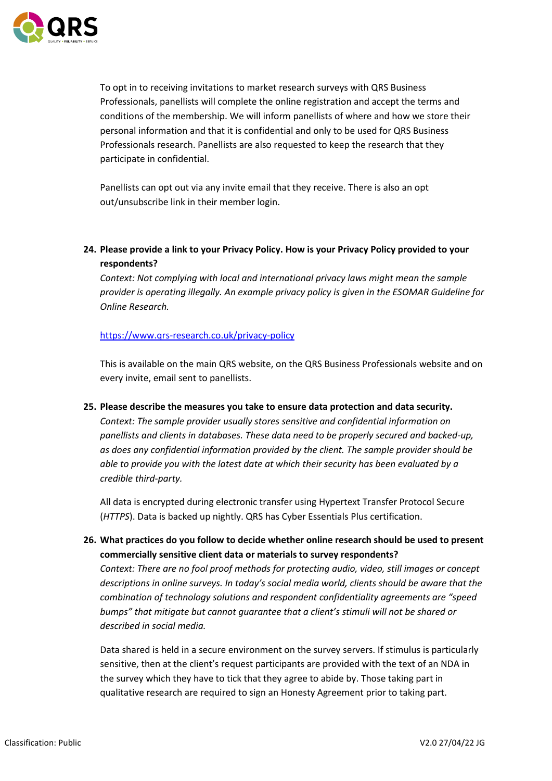

To opt in to receiving invitations to market research surveys with QRS Business Professionals, panellists will complete the online registration and accept the terms and conditions of the membership. We will inform panellists of where and how we store their personal information and that it is confidential and only to be used for QRS Business Professionals research. Panellists are also requested to keep the research that they participate in confidential.

Panellists can opt out via any invite email that they receive. There is also an opt out/unsubscribe link in their member login.

**24. Please provide a link to your Privacy Policy. How is your Privacy Policy provided to your respondents?**

*Context: Not complying with local and international privacy laws might mean the sample provider is operating illegally. An example privacy policy is given in the ESOMAR Guideline for Online Research.*

### <https://www.qrs-research.co.uk/privacy-policy>

This is available on the main QRS website, on the QRS Business Professionals website and on every invite, email sent to panellists.

**25. Please describe the measures you take to ensure data protection and data security.** *Context: The sample provider usually stores sensitive and confidential information on panellists and clients in databases. These data need to be properly secured and backed-up, as does any confidential information provided by the client. The sample provider should be able to provide you with the latest date at which their security has been evaluated by a credible third-party.*

All data is encrypted during electronic transfer using Hypertext Transfer Protocol Secure (*HTTPS*). Data is backed up nightly. QRS has Cyber Essentials Plus certification.

**26. What practices do you follow to decide whether online research should be used to present commercially sensitive client data or materials to survey respondents?** *Context: There are no fool proof methods for protecting audio, video, still images or concept descriptions in online surveys. In today's social media world, clients should be aware that the combination of technology solutions and respondent confidentiality agreements are "speed bumps" that mitigate but cannot guarantee that a client's stimuli will not be shared or described in social media.*

Data shared is held in a secure environment on the survey servers. If stimulus is particularly sensitive, then at the client's request participants are provided with the text of an NDA in the survey which they have to tick that they agree to abide by. Those taking part in qualitative research are required to sign an Honesty Agreement prior to taking part.